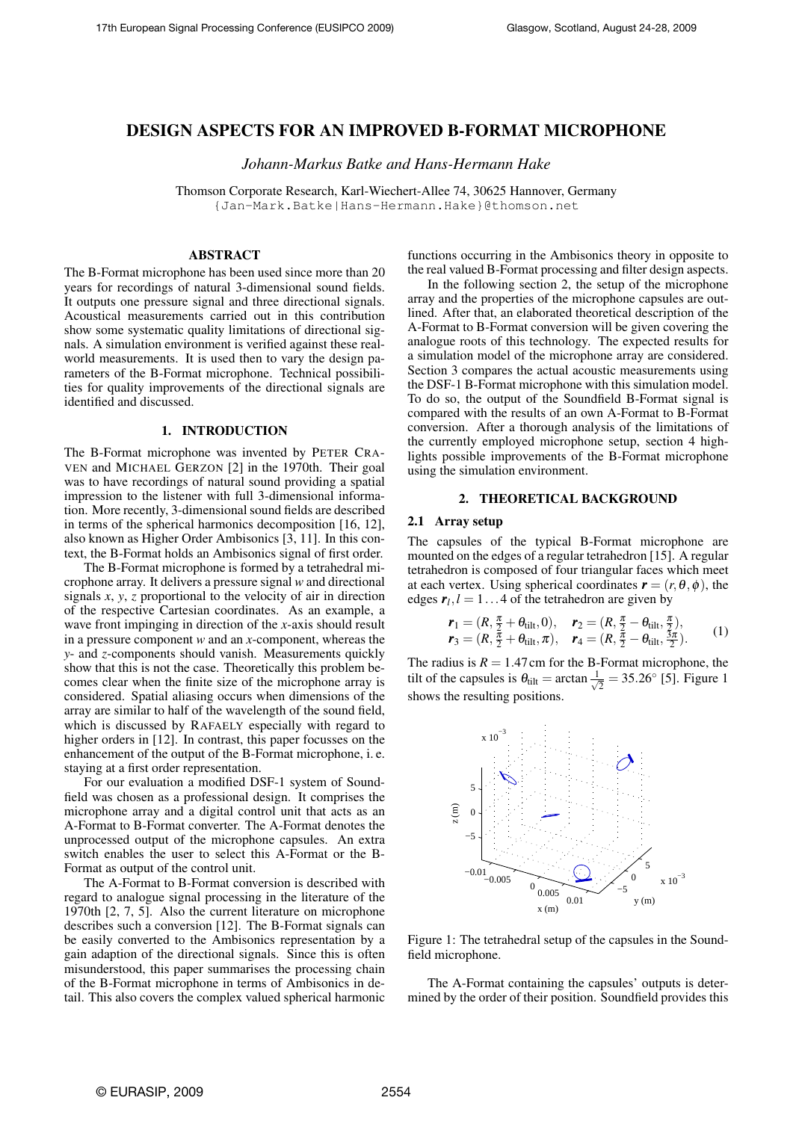# DESIGN ASPECTS FOR AN IMPROVED B-FORMAT MICROPHONE

*Johann-Markus Batke and Hans-Hermann Hake*

Thomson Corporate Research, Karl-Wiechert-Allee 74, 30625 Hannover, Germany {Jan-Mark.Batke|Hans-Hermann.Hake}@thomson.net

# ABSTRACT

The B-Format microphone has been used since more than 20 years for recordings of natural 3-dimensional sound fields. It outputs one pressure signal and three directional signals. Acoustical measurements carried out in this contribution show some systematic quality limitations of directional signals. A simulation environment is verified against these realworld measurements. It is used then to vary the design parameters of the B-Format microphone. Technical possibilities for quality improvements of the directional signals are identified and discussed.

## 1. INTRODUCTION

The B-Format microphone was invented by PETER CRA-VEN and MICHAEL GERZON [2] in the 1970th. Their goal was to have recordings of natural sound providing a spatial impression to the listener with full 3-dimensional information. More recently, 3-dimensional sound fields are described in terms of the spherical harmonics decomposition [16, 12], also known as Higher Order Ambisonics [3, 11]. In this context, the B-Format holds an Ambisonics signal of first order.

The B-Format microphone is formed by a tetrahedral microphone array. It delivers a pressure signal *w* and directional signals *x*, *y*, *z* proportional to the velocity of air in direction of the respective Cartesian coordinates. As an example, a wave front impinging in direction of the *x*-axis should result in a pressure component *w* and an *x*-component, whereas the *y*- and *z*-components should vanish. Measurements quickly show that this is not the case. Theoretically this problem becomes clear when the finite size of the microphone array is considered. Spatial aliasing occurs when dimensions of the array are similar to half of the wavelength of the sound field, which is discussed by RAFAELY especially with regard to higher orders in [12]. In contrast, this paper focusses on the enhancement of the output of the B-Format microphone, i. e. staying at a first order representation.

For our evaluation a modified DSF-1 system of Soundfield was chosen as a professional design. It comprises the microphone array and a digital control unit that acts as an A-Format to B-Format converter. The A-Format denotes the unprocessed output of the microphone capsules. An extra switch enables the user to select this A-Format or the B-Format as output of the control unit.

The A-Format to B-Format conversion is described with regard to analogue signal processing in the literature of the 1970th [2, 7, 5]. Also the current literature on microphone describes such a conversion [12]. The B-Format signals can be easily converted to the Ambisonics representation by a gain adaption of the directional signals. Since this is often misunderstood, this paper summarises the processing chain of the B-Format microphone in terms of Ambisonics in detail. This also covers the complex valued spherical harmonic

functions occurring in the Ambisonics theory in opposite to the real valued B-Format processing and filter design aspects.

In the following section 2, the setup of the microphone array and the properties of the microphone capsules are outlined. After that, an elaborated theoretical description of the A-Format to B-Format conversion will be given covering the analogue roots of this technology. The expected results for a simulation model of the microphone array are considered. Section 3 compares the actual acoustic measurements using the DSF-1 B-Format microphone with this simulation model. To do so, the output of the Soundfield B-Format signal is compared with the results of an own A-Format to B-Format conversion. After a thorough analysis of the limitations of the currently employed microphone setup, section 4 highlights possible improvements of the B-Format microphone using the simulation environment.

#### 2. THEORETICAL BACKGROUND

#### 2.1 Array setup

The capsules of the typical B-Format microphone are mounted on the edges of a regular tetrahedron [15]. A regular tetrahedron is composed of four triangular faces which meet at each vertex. Using spherical coordinates  $\mathbf{r} = (r, \theta, \phi)$ , the edges  $r_l$ ,  $l = 1...4$  of the tetrahedron are given by

$$
\mathbf{r}_1 = (R, \frac{\pi}{2} + \theta_{\text{tilt}}, 0), \quad \mathbf{r}_2 = (R, \frac{\pi}{2} - \theta_{\text{tilt}}, \frac{\pi}{2}), \n\mathbf{r}_3 = (R, \frac{\pi}{2} + \theta_{\text{tilt}}, \pi), \quad \mathbf{r}_4 = (R, \frac{\pi}{2} - \theta_{\text{tilt}}, \frac{3\pi}{2}).
$$
\n(1)

The radius is  $R = 1.47$  cm for the B-Format microphone, the tilt of the capsules is  $\theta_{\text{tilt}} = \arctan \frac{1}{\sqrt{2}}$  $\overline{z} = 35.26^{\circ}$  [5]. Figure 1 shows the resulting positions.



Figure 1: The tetrahedral setup of the capsules in the Soundfield microphone.

The A-Format containing the capsules' outputs is determined by the order of their position. Soundfield provides this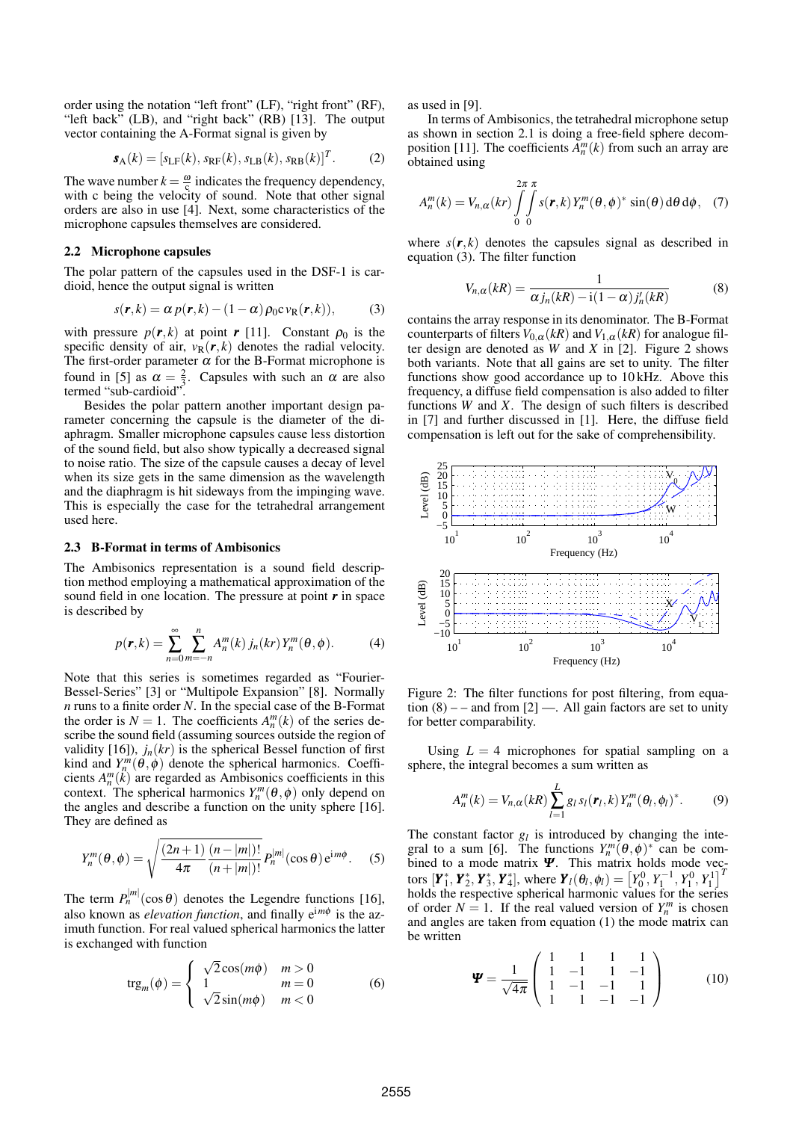order using the notation "left front" (LF), "right front" (RF), "left back" (LB), and "right back" (RB) [13]. The output vector containing the A-Format signal is given by

$$
\mathbf{s}_{\mathbf{A}}(k) = [s_{\mathbf{LF}}(k), s_{\mathbf{RF}}(k), s_{\mathbf{LB}}(k), s_{\mathbf{RB}}(k)]^T. \tag{2}
$$

The wave number  $k = \frac{\omega}{c}$  indicates the frequency dependency, with c being the velocity of sound. Note that other signal orders are also in use [4]. Next, some characteristics of the microphone capsules themselves are considered.

#### 2.2 Microphone capsules

The polar pattern of the capsules used in the DSF-1 is cardioid, hence the output signal is written

$$
s(\boldsymbol{r},k) = \alpha \, p(\boldsymbol{r},k) - (1-\alpha) \, \rho_0 c \, v_{\rm R}(\boldsymbol{r},k)),\tag{3}
$$

with pressure  $p(r, k)$  at point *r* [11]. Constant  $\rho_0$  is the specific density of air,  $v_R(r, k)$  denotes the radial velocity. The first-order parameter  $\alpha$  for the B-Format microphone is found in [5] as  $\alpha = \frac{2}{3}$ . Capsules with such an  $\alpha$  are also termed "sub-cardioid".

Besides the polar pattern another important design parameter concerning the capsule is the diameter of the diaphragm. Smaller microphone capsules cause less distortion of the sound field, but also show typically a decreased signal to noise ratio. The size of the capsule causes a decay of level when its size gets in the same dimension as the wavelength and the diaphragm is hit sideways from the impinging wave. This is especially the case for the tetrahedral arrangement used here.

#### 2.3 B-Format in terms of Ambisonics

The Ambisonics representation is a sound field description method employing a mathematical approximation of the sound field in one location. The pressure at point *r* in space is described by

$$
p(\boldsymbol{r},k) = \sum_{n=0}^{\infty} \sum_{m=-n}^{n} A_n^m(k) j_n(kr) Y_n^m(\boldsymbol{\theta}, \boldsymbol{\phi}).
$$
 (4)

Note that this series is sometimes regarded as "Fourier-Bessel-Series" [3] or "Multipole Expansion" [8]. Normally *n* runs to a finite order *N*. In the special case of the B-Format the order is  $N = 1$ . The coefficients  $A_n^m(k)$  of the series describe the sound field (assuming sources outside the region of validity [16]),  $j_n(kr)$  is the spherical Bessel function of first kind and  $Y_n^m(\theta, \phi)$  denote the spherical harmonics. Coefficients  $A_n^m(k)$  are regarded as Ambisonics coefficients in this context. The spherical harmonics  $Y_n^m(\theta, \phi)$  only depend on the angles and describe a function on the unity sphere [16]. They are defined as

$$
Y_n^m(\theta, \phi) = \sqrt{\frac{(2n+1)}{4\pi} \frac{(n-|m|)!}{(n+|m|)!}} P_n^{|m|}(\cos \theta) e^{im\phi}.
$$
 (5)

The term  $P_n^{|m|}(\cos\theta)$  denotes the Legendre functions [16], also known as *elevation function*, and finally  $e^{im\phi}$  is the azimuth function. For real valued spherical harmonics the latter is exchanged with function

$$
\text{trg}_m(\phi) = \begin{cases} \sqrt{2}\cos(m\phi) & m > 0\\ 1 & m = 0\\ \sqrt{2}\sin(m\phi) & m < 0 \end{cases}
$$
 (6)

as used in [9].

In terms of Ambisonics, the tetrahedral microphone setup as shown in section 2.1 is doing a free-field sphere decomposition [11]. The coefficients  $\overline{A}_n^m(k)$  from such an array are obtained using

$$
A_n^m(k) = V_{n,\alpha}(kr) \int\limits_{0}^{2\pi} \int\limits_{0}^{\pi} s(\mathbf{r},k) Y_n^m(\theta,\phi)^* \sin(\theta) d\theta d\phi, \quad (7)
$$

where  $s(\mathbf{r}, k)$  denotes the capsules signal as described in equation (3). The filter function

$$
V_{n,\alpha}(kR) = \frac{1}{\alpha j_n(kR) - i(1-\alpha) j'_n(kR)}
$$
(8)

contains the array response in its denominator. The B-Format counterparts of filters  $V_{0,\alpha}(kR)$  and  $V_{1,\alpha}(kR)$  for analogue filter design are denoted as  $W$  and  $X$  in [2]. Figure 2 shows both variants. Note that all gains are set to unity. The filter functions show good accordance up to 10 kHz. Above this frequency, a diffuse field compensation is also added to filter functions *W* and *X*. The design of such filters is described in [7] and further discussed in [1]. Here, the diffuse field compensation is left out for the sake of comprehensibility.



Figure 2: The filter functions for post filtering, from equation  $(8)$  – – and from  $[2]$  —. All gain factors are set to unity for better comparability.

Using  $L = 4$  microphones for spatial sampling on a sphere, the integral becomes a sum written as

$$
A_n^m(k) = V_{n,\alpha}(kR) \sum_{l=1}^L g_l s_l(\mathbf{r}_l,k) Y_n^m(\theta_l,\phi_l)^*.
$$
 (9)

The constant factor  $g_l$  is introduced by changing the integral to a sum [6]. The functions  $Y_n^m(\theta, \phi)^*$  can be combined to a mode matrix  $\Psi$ . This matrix holds mode vectors  $[\mathbf{Y}_1^*, \mathbf{Y}_2^*, \mathbf{Y}_3^*, \mathbf{Y}_4^*]$ , where  $\mathbf{Y}_l(\theta_l, \phi_l) = [\begin{matrix} Y_0^0, Y_1^{-1}, Y_1^0, Y_1^1 \end{matrix}]^T$ holds the respective spherical harmonic values for the series of order  $N = 1$ . If the real valued version of  $Y_n^m$  is chosen and angles are taken from equation (1) the mode matrix can be written

$$
\mathbf{\Psi} = \frac{1}{\sqrt{4\pi}} \begin{pmatrix} 1 & 1 & 1 & 1 \\ 1 & -1 & 1 & -1 \\ 1 & -1 & -1 & 1 \\ 1 & 1 & -1 & -1 \end{pmatrix}
$$
 (10)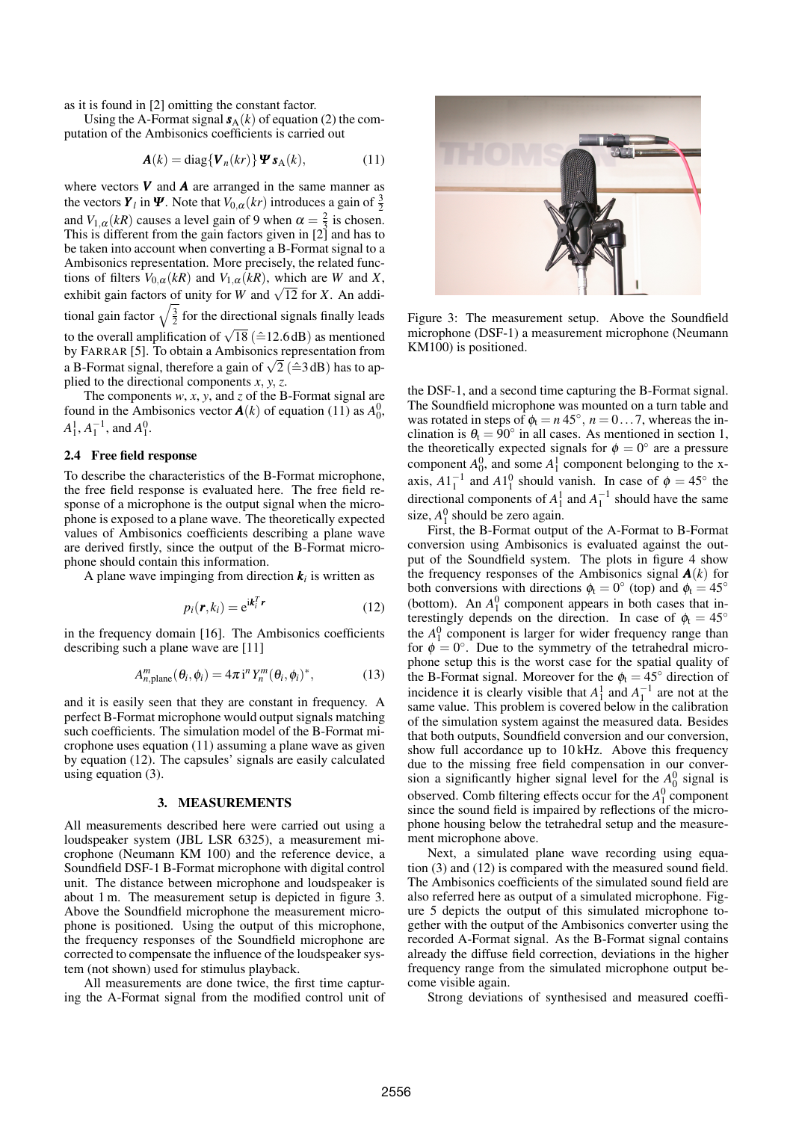as it is found in [2] omitting the constant factor.

Using the A-Format signal  $s_A(k)$  of equation (2) the computation of the Ambisonics coefficients is carried out

$$
\mathbf{A}(k) = \text{diag}\{\mathbf{V}_n(kr)\} \mathbf{\Psi} \mathbf{s}_A(k), \tag{11}
$$

where vectors  $V$  and  $A$  are arranged in the same manner as the vectors  $Y_l$  in  $\Psi$ . Note that  $V_{0,\alpha}(kr)$  introduces a gain of  $\frac{3}{2}$ and  $V_{1,\alpha}(kR)$  causes a level gain of 9 when  $\alpha = \frac{2}{3}$  is chosen. This is different from the gain factors given in [2] and has to be taken into account when converting a B-Format signal to a Ambisonics representation. More precisely, the related functions of filters  $V_{0,\alpha}(kR)$  and  $V_{1,\alpha}(kR)$ , which are *W* and *X*, tions of finers  $v_{0,\alpha}$ ( $\kappa$ A) and  $v_{1,\alpha}$ ( $\kappa$ A), which are *w* and  $\lambda$ , exhibit gain factors of unity for *W* and  $\sqrt{12}$  for *X*. An additional gain factor  $\sqrt{\frac{3}{2}}$  for the directional signals finally leads to the overall amplification of  $\sqrt{18}$  ( $\hat{=}12.6$ dB) as mentioned by FARRAR [5]. To obtain a Ambisonics representation from by FARRAR [5]. To obtain a Ambisonics representation from<br>a B-Format signal, therefore a gain of √2 (≙3 dB) has to applied to the directional components *x*, *y*, *z*.

The components *w*, *x*, *y*, and *z* of the B-Format signal are found in the Ambisonics vector  $A(k)$  of equation (11) as  $A_0^0$ ,  $A_1^1, A_1^{-1}$ , and  $A_1^0$ .

### 2.4 Free field response

To describe the characteristics of the B-Format microphone, the free field response is evaluated here. The free field response of a microphone is the output signal when the microphone is exposed to a plane wave. The theoretically expected values of Ambisonics coefficients describing a plane wave are derived firstly, since the output of the B-Format microphone should contain this information.

A plane wave impinging from direction  $\mathbf{k}_i$  is written as

$$
p_i(\mathbf{r}, k_i) = e^{i\mathbf{k}_i^T \mathbf{r}} \tag{12}
$$

in the frequency domain [16]. The Ambisonics coefficients describing such a plane wave are [11]

$$
A_{n,\text{plane}}^m(\theta_i,\phi_i) = 4\pi i^n Y_n^m(\theta_i,\phi_i)^*,\tag{13}
$$

and it is easily seen that they are constant in frequency. A perfect B-Format microphone would output signals matching such coefficients. The simulation model of the B-Format microphone uses equation (11) assuming a plane wave as given by equation (12). The capsules' signals are easily calculated using equation (3).

#### 3. MEASUREMENTS

All measurements described here were carried out using a loudspeaker system (JBL LSR 6325), a measurement microphone (Neumann KM 100) and the reference device, a Soundfield DSF-1 B-Format microphone with digital control unit. The distance between microphone and loudspeaker is about 1 m. The measurement setup is depicted in figure 3. Above the Soundfield microphone the measurement microphone is positioned. Using the output of this microphone, the frequency responses of the Soundfield microphone are corrected to compensate the influence of the loudspeaker system (not shown) used for stimulus playback.

All measurements are done twice, the first time capturing the A-Format signal from the modified control unit of



Figure 3: The measurement setup. Above the Soundfield microphone (DSF-1) a measurement microphone (Neumann KM100) is positioned.

the DSF-1, and a second time capturing the B-Format signal. The Soundfield microphone was mounted on a turn table and was rotated in steps of  $\phi_t = n 45^\circ$ ,  $n = 0...7$ , whereas the inclination is  $\theta_t = 90^\circ$  in all cases. As mentioned in section 1, the theoretically expected signals for  $\phi = 0^{\circ}$  are a pressure component  $A_0^0$ , and some  $A_1^1$  component belonging to the xaxis,  $A1_1^{-1}$  and  $A1_1^0$  should vanish. In case of  $\phi = 45^\circ$  the directional components of  $A_1^1$  and  $A_1^{-1}$  should have the same size,  $A_1^0$  should be zero again.

First, the B-Format output of the A-Format to B-Format conversion using Ambisonics is evaluated against the output of the Soundfield system. The plots in figure 4 show the frequency responses of the Ambisonics signal  $A(k)$  for both conversions with directions  $\phi_t = 0^\circ$  (top) and  $\phi_t = 45^\circ$ (bottom). An  $A_1^0$  component appears in both cases that interestingly depends on the direction. In case of  $\phi_t = 45^\circ$ the  $A_1^0$  component is larger for wider frequency range than for  $\phi = 0^{\circ}$ . Due to the symmetry of the tetrahedral microphone setup this is the worst case for the spatial quality of the B-Format signal. Moreover for the  $\phi_t = 45^\circ$  direction of incidence it is clearly visible that  $A_1^1$  and  $A_1^{-1}$  are not at the same value. This problem is covered below in the calibration of the simulation system against the measured data. Besides that both outputs, Soundfield conversion and our conversion, show full accordance up to 10 kHz. Above this frequency due to the missing free field compensation in our conversion a significantly higher signal level for the  $A_0^0$  signal is observed. Comb filtering effects occur for the  $A_1^0$  component since the sound field is impaired by reflections of the microphone housing below the tetrahedral setup and the measurement microphone above.

Next, a simulated plane wave recording using equation (3) and (12) is compared with the measured sound field. The Ambisonics coefficients of the simulated sound field are also referred here as output of a simulated microphone. Figure 5 depicts the output of this simulated microphone together with the output of the Ambisonics converter using the recorded A-Format signal. As the B-Format signal contains already the diffuse field correction, deviations in the higher frequency range from the simulated microphone output become visible again.

Strong deviations of synthesised and measured coeffi-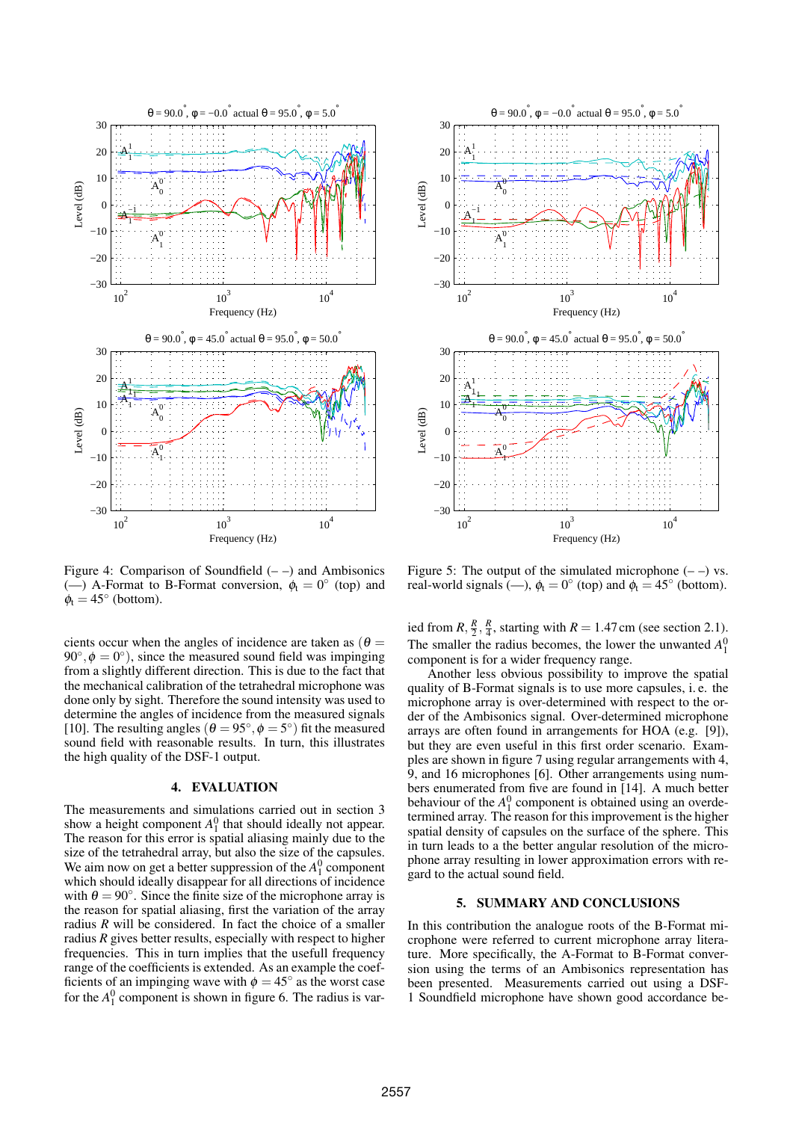

Figure 4: Comparison of Soundfield  $(-)$  and Ambisonics (—) A-Format to B-Format conversion,  $\phi_t = 0^\circ$  (top) and  $\phi_t = 45^\circ$  (bottom).

cients occur when the angles of incidence are taken as  $(\theta =$  $90^\circ$ ,  $\phi = 0^\circ$ ), since the measured sound field was impinging from a slightly different direction. This is due to the fact that the mechanical calibration of the tetrahedral microphone was done only by sight. Therefore the sound intensity was used to determine the angles of incidence from the measured signals [10]. The resulting angles  $(\theta = 95^{\circ}, \phi = 5^{\circ})$  fit the measured sound field with reasonable results. In turn, this illustrates the high quality of the DSF-1 output.

#### 4. EVALUATION

The measurements and simulations carried out in section 3 show a height component  $A_1^0$  that should ideally not appear. The reason for this error is spatial aliasing mainly due to the size of the tetrahedral array, but also the size of the capsules. We aim now on get a better suppression of the  $A_1^0$  component which should ideally disappear for all directions of incidence with  $\theta = 90^\circ$ . Since the finite size of the microphone array is the reason for spatial aliasing, first the variation of the array radius *R* will be considered. In fact the choice of a smaller radius *R* gives better results, especially with respect to higher frequencies. This in turn implies that the usefull frequency range of the coefficients is extended. As an example the coefficients of an impinging wave with  $\phi = 45^\circ$  as the worst case for the  $A_1^0$  component is shown in figure 6. The radius is var-



Figure 5: The output of the simulated microphone  $(-)$  vs. real-world signals (—),  $\phi_t = 0^\circ$  (top) and  $\phi_t = 45^\circ$  (bottom).

ied from  $R, \frac{R}{2}, \frac{R}{4}$ , starting with  $R = 1.47$  cm (see section 2.1). The smaller the radius becomes, the lower the unwanted  $A_1^0$ component is for a wider frequency range.

Another less obvious possibility to improve the spatial quality of B-Format signals is to use more capsules, i. e. the microphone array is over-determined with respect to the order of the Ambisonics signal. Over-determined microphone arrays are often found in arrangements for HOA (e.g. [9]), but they are even useful in this first order scenario. Examples are shown in figure 7 using regular arrangements with 4, 9, and 16 microphones [6]. Other arrangements using numbers enumerated from five are found in [14]. A much better behaviour of the  $A_1^0$  component is obtained using an overdetermined array. The reason for this improvement is the higher spatial density of capsules on the surface of the sphere. This in turn leads to a the better angular resolution of the microphone array resulting in lower approximation errors with regard to the actual sound field.

#### 5. SUMMARY AND CONCLUSIONS

In this contribution the analogue roots of the B-Format microphone were referred to current microphone array literature. More specifically, the A-Format to B-Format conversion using the terms of an Ambisonics representation has been presented. Measurements carried out using a DSF-1 Soundfield microphone have shown good accordance be-